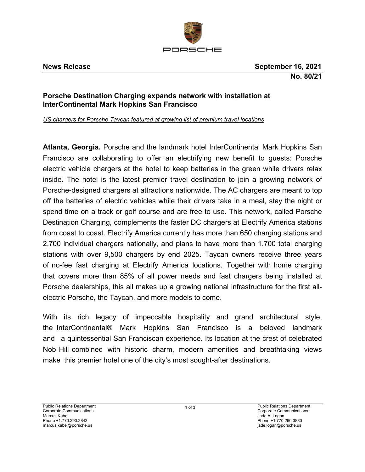

# **Porsche Destination Charging expands network with installation at InterContinental Mark Hopkins San Francisco**

*US chargers for Porsche Taycan featured at growing list of premium travel locations*

**Atlanta, Georgia.** Porsche and the landmark hotel InterContinental Mark Hopkins San Francisco are collaborating to offer an electrifying new benefit to guests: Porsche electric vehicle chargers at the hotel to keep batteries in the green while drivers relax inside. The hotel is the latest premier travel destination to join a growing network of Porsche-designed chargers at attractions nationwide. The AC chargers are meant to top off the batteries of electric vehicles while their drivers take in a meal, stay the night or spend time on a track or golf course and are free to use. This network, called Porsche Destination Charging, complements the faster DC chargers at Electrify America stations from coast to coast. Electrify America currently has more than 650 charging stations and 2,700 individual chargers nationally, and plans to have more than 1,700 total charging stations with over 9,500 chargers by end 2025. Taycan owners receive three years of no-fee fast charging at Electrify America locations. Together with home charging that covers more than 85% of all power needs and fast chargers being installed at Porsche dealerships, this all makes up a growing national infrastructure for the first allelectric Porsche, the Taycan, and more models to come.

With its rich legacy of impeccable hospitality and grand architectural style, the InterContinental® Mark Hopkins San Francisco is a beloved landmark and a quintessential San Franciscan experience. Its location at the crest of celebrated Nob Hill combined with historic charm, modern amenities and breathtaking views make this premier hotel one of the city's most sought-after destinations.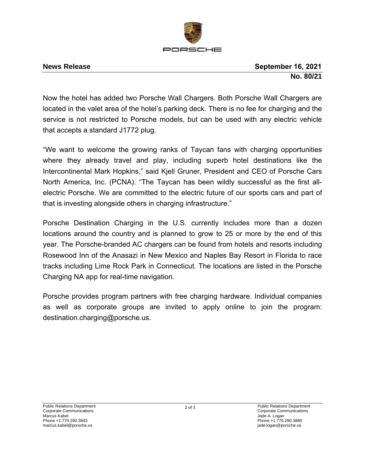

## **News Release September 16, 2021 No. 80/21**

Now the hotel has added two Porsche Wall Chargers. Both Porsche Wall Chargers are located in the valet area of the hotel's parking deck. There is no fee for charging and the service is not restricted to Porsche models, but can be used with any electric vehicle that accepts a standard J1772 plug.

"We want to welcome the growing ranks of Taycan fans with charging opportunities where they already travel and play, including superb hotel destinations like the Intercontinental Mark Hopkins," said Kjell Gruner, President and CEO of Porsche Cars North America, Inc. (PCNA). "The Taycan has been wildly successful as the first allelectric Porsche. We are committed to the electric future of our sports cars and part of that is investing alongside others in charging infrastructure."

Porsche Destination Charging in the U.S. currently includes more than a dozen locations around the country and is planned to grow to 25 or more by the end of this year. The Porsche-branded AC chargers can be found from hotels and resorts including Rosewood Inn of the Anasazi in New Mexico and Naples Bay Resort in Florida to race tracks including Lime Rock Park in Connecticut. The locations are listed in the Porsche Charging NA app for real-time navigation.

Porsche provides program partners with free charging hardware. Individual companies as well as corporate groups are invited to apply online to join the program: destination.charging@porsche.us.